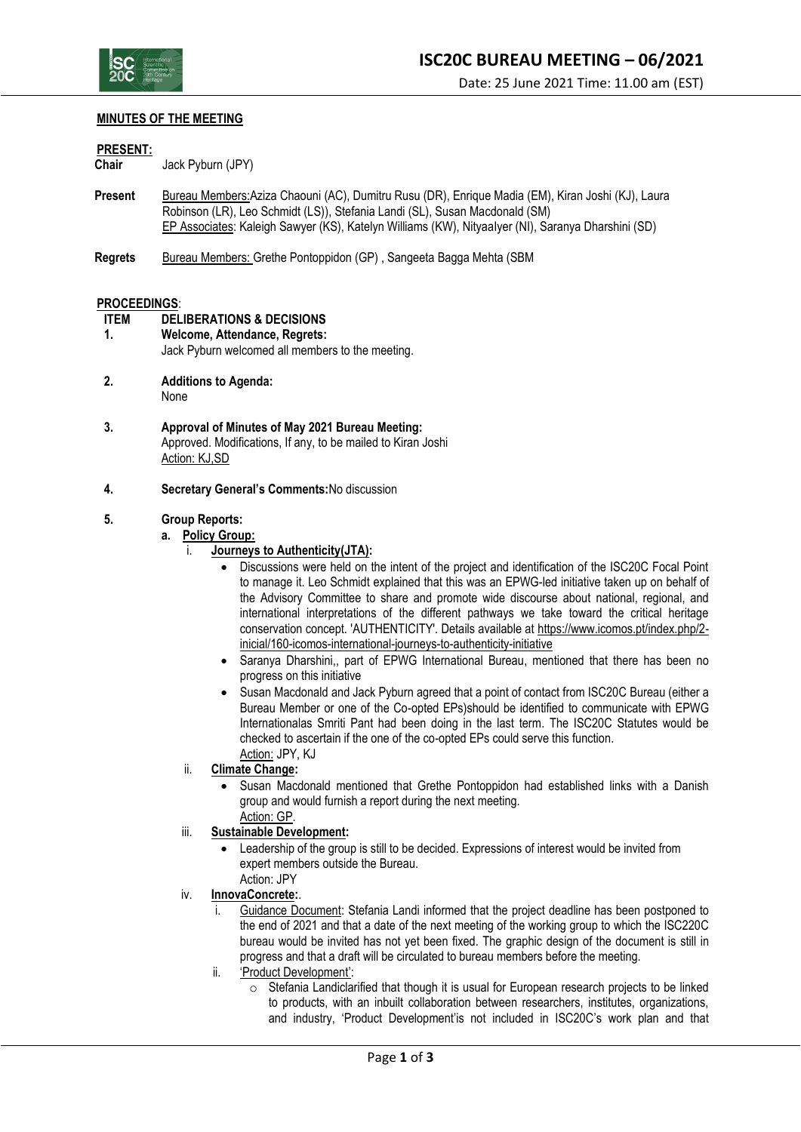

### **MINUTES OF THE MEETING**

#### **PRESENT:**

**Chair** Jack Pyburn (JPY)

- **Present** Bureau Members:Aziza Chaouni (AC), Dumitru Rusu (DR), Enrique Madia (EM), Kiran Joshi (KJ), Laura Robinson (LR), Leo Schmidt (LS)), Stefania Landi (SL), Susan Macdonald (SM) EP Associates: Kaleigh Sawyer (KS), Katelyn Williams (KW), NityaaIyer (NI), Saranya Dharshini (SD)
- **Regrets** Bureau Members: Grethe Pontoppidon (GP), Sangeeta Bagga Mehta (SBM)

#### **PROCEEDINGS**:

- **ITEM DELIBERATIONS & DECISIONS**
- **1. Welcome, Attendance, Regrets:** Jack Pyburn welcomed all members to the meeting.
- **2. Additions to Agenda:** None
- **3. Approval of Minutes of May 2021 Bureau Meeting:** Approved. Modifications, If any, to be mailed to Kiran Joshi Action: KJ,SD
- **4. Secretary General's Comments:**No discussion

# **5. Group Reports:**

- **a. Policy Group:**
	- i. **Journeys to Authenticity(JTA):**
		- Discussions were held on the intent of the project and identification of the ISC20C Focal Point to manage it. Leo Schmidt explained that this was an EPWG-led initiative taken up on behalf of the Advisory Committee to share and promote wide discourse about national, regional, and international interpretations of the different pathways we take toward the critical heritage conservation concept. 'AUTHENTICITY'. Details available at [https://www.icomos.pt/index.php/2](https://www.icomos.pt/index.php/2-inicial/160-icomos-international-journeys-to-authenticity-initiative) [inicial/160-icomos-international-journeys-to-authenticity-initiative](https://www.icomos.pt/index.php/2-inicial/160-icomos-international-journeys-to-authenticity-initiative)
		- Saranya Dharshini,, part of EPWG International Bureau, mentioned that there has been no progress on this initiative
		- Susan Macdonald and Jack Pyburn agreed that a point of contact from ISC20C Bureau (either a Bureau Member or one of the Co-opted EPs)should be identified to communicate with EPWG Internationalas Smriti Pant had been doing in the last term. The ISC20C Statutes would be checked to ascertain if the one of the co-opted EPs could serve this function. Action: JPY, KJ
	- ii. **Climate Change:**
		- Susan Macdonald mentioned that Grethe Pontoppidon had established links with a Danish group and would furnish a report during the next meeting. Action: GP.

# iii. **Sustainable Development:**

- Leadership of the group is still to be decided. Expressions of interest would be invited from expert members outside the Bureau.
- Action: JPY
- iv. **InnovaConcrete:**.
	- i. Guidance Document: Stefania Landi informed that the project deadline has been postponed to the end of 2021 and that a date of the next meeting of the working group to which the ISC220C bureau would be invited has not yet been fixed. The graphic design of the document is still in progress and that a draft will be circulated to bureau members before the meeting.
	- ii. 'Product Development':
		- $\circ$  Stefania Landiclarified that though it is usual for European research projects to be linked to products, with an inbuilt collaboration between researchers, institutes, organizations, and industry, 'Product Development'is not included in ISC20C's work plan and that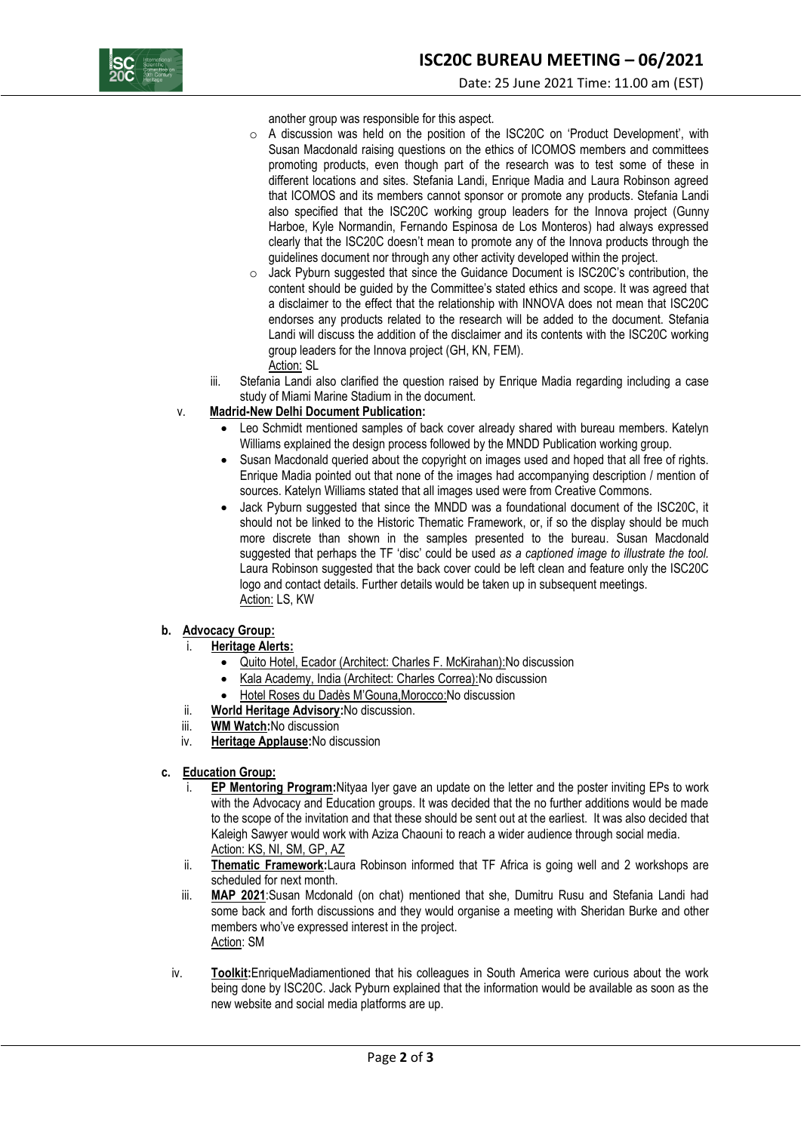

another group was responsible for this aspect.

- o A discussion was held on the position of the ISC20C on 'Product Development', with Susan Macdonald raising questions on the ethics of ICOMOS members and committees promoting products, even though part of the research was to test some of these in different locations and sites. Stefania Landi, Enrique Madia and Laura Robinson agreed that ICOMOS and its members cannot sponsor or promote any products. Stefania Landi also specified that the ISC20C working group leaders for the Innova project (Gunny Harboe, Kyle Normandin, Fernando Espinosa de Los Monteros) had always expressed clearly that the ISC20C doesn't mean to promote any of the Innova products through the guidelines document nor through any other activity developed within the project.
- o Jack Pyburn suggested that since the Guidance Document is ISC20C's contribution, the content should be guided by the Committee's stated ethics and scope. It was agreed that a disclaimer to the effect that the relationship with INNOVA does not mean that ISC20C endorses any products related to the research will be added to the document. Stefania Landi will discuss the addition of the disclaimer and its contents with the ISC20C working group leaders for the Innova project (GH, KN, FEM). Action: SL
- iii. Stefania Landi also clarified the question raised by Enrique Madia regarding including a case study of Miami Marine Stadium in the document.

### v. **Madrid-New Delhi Document Publication:**

- Leo Schmidt mentioned samples of back cover already shared with bureau members. Katelyn Williams explained the design process followed by the MNDD Publication working group.
- Susan Macdonald queried about the copyright on images used and hoped that all free of rights. Enrique Madia pointed out that none of the images had accompanying description / mention of sources. Katelyn Williams stated that all images used were from Creative Commons.
- Jack Pyburn suggested that since the MNDD was a foundational document of the ISC20C, it should not be linked to the Historic Thematic Framework, or, if so the display should be much more discrete than shown in the samples presented to the bureau. Susan Macdonald suggested that perhaps the TF 'disc' could be used *as a captioned image to illustrate the tool.*  Laura Robinson suggested that the back cover could be left clean and feature only the ISC20C logo and contact details. Further details would be taken up in subsequent meetings. Action: LS, KW

#### **b. Advocacy Group:**

- i. **Heritage Alerts:**
	- Quito Hotel, Ecador (Architect: Charles F. McKirahan): No discussion
	- Kala Academy, India (Architect: Charles Correa):No discussion
	- Hotel Roses du Dadès M'Gouna,Morocco:No discussion
- ii. **World Heritage Advisory:**No discussion.
- iii. **WM Watch:**No discussion
- iv. **Heritage Applause:**No discussion
- **c. Education Group:**
	- i. **EP Mentoring Program:**Nityaa Iyer gave an update on the letter and the poster inviting EPs to work with the Advocacy and Education groups. It was decided that the no further additions would be made to the scope of the invitation and that these should be sent out at the earliest. It was also decided that Kaleigh Sawyer would work with Aziza Chaouni to reach a wider audience through social media. Action: KS, NI, SM, GP, AZ
	- ii. **Thematic Framework:**Laura Robinson informed that TF Africa is going well and 2 workshops are scheduled for next month.
	- iii. **MAP 2021**:Susan Mcdonald (on chat) mentioned that she, Dumitru Rusu and Stefania Landi had some back and forth discussions and they would organise a meeting with Sheridan Burke and other members who've expressed interest in the project. Action: SM
	- iv. **Toolkit:**EnriqueMadiamentioned that his colleagues in South America were curious about the work being done by ISC20C. Jack Pyburn explained that the information would be available as soon as the new website and social media platforms are up.